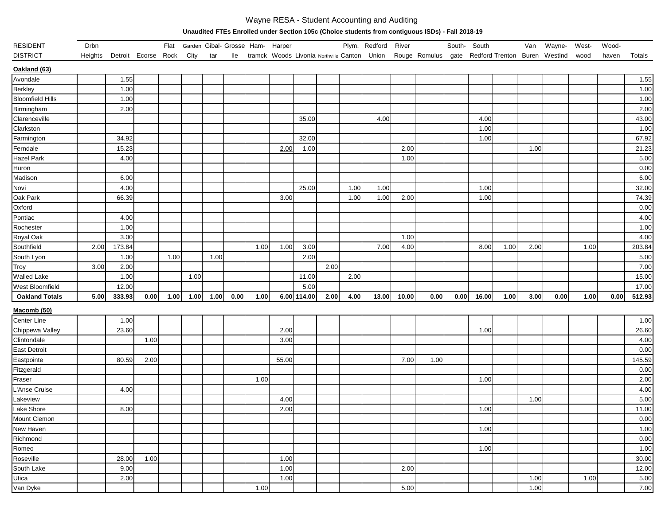## Wayne RESA - Student Accounting and Auditing

**Unaudited FTEs Enrolled under Section 105c (Choice students from contiguous ISDs) - Fall 2018-19**

| RESIDENT                | Drbn    |                     |      |      |      |      |      | Flat Garden Gibal- Grosse Ham- Harper            |       |             |      |      | Plym. Redford | River |                                                  | South- South |       |      | Van  | Wayne- | West- | Wood- |        |
|-------------------------|---------|---------------------|------|------|------|------|------|--------------------------------------------------|-------|-------------|------|------|---------------|-------|--------------------------------------------------|--------------|-------|------|------|--------|-------|-------|--------|
| <b>DISTRICT</b>         | Heights | Detroit Ecorse Rock |      |      | City | tar  |      | Ile tramck Woods Livonia Northville Canton Union |       |             |      |      |               |       | Rouge Romulus gate Redford Trenton Buren WestInd |              |       |      |      |        | wood  | haven | Totals |
| Oakland (63)            |         |                     |      |      |      |      |      |                                                  |       |             |      |      |               |       |                                                  |              |       |      |      |        |       |       |        |
| Avondale                |         | 1.55                |      |      |      |      |      |                                                  |       |             |      |      |               |       |                                                  |              |       |      |      |        |       |       | 1.55   |
| Berkley                 |         | 1.00                |      |      |      |      |      |                                                  |       |             |      |      |               |       |                                                  |              |       |      |      |        |       |       | 1.00   |
| <b>Bloomfield Hills</b> |         | 1.00                |      |      |      |      |      |                                                  |       |             |      |      |               |       |                                                  |              |       |      |      |        |       |       | 1.00   |
| Birmingham              |         | 2.00                |      |      |      |      |      |                                                  |       |             |      |      |               |       |                                                  |              |       |      |      |        |       |       | 2.00   |
| Clarenceville           |         |                     |      |      |      |      |      |                                                  |       | 35.00       |      |      | 4.00          |       |                                                  |              | 4.00  |      |      |        |       |       | 43.00  |
| Clarkston               |         |                     |      |      |      |      |      |                                                  |       |             |      |      |               |       |                                                  |              | 1.00  |      |      |        |       |       | 1.00   |
| Farmington              |         | 34.92               |      |      |      |      |      |                                                  |       | 32.00       |      |      |               |       |                                                  |              | 1.00  |      |      |        |       |       | 67.92  |
| Ferndale                |         | 15.23               |      |      |      |      |      |                                                  | 2.00  | 1.00        |      |      |               | 2.00  |                                                  |              |       |      | 1.00 |        |       |       | 21.23  |
| Hazel Park              |         | 4.00                |      |      |      |      |      |                                                  |       |             |      |      |               | 1.00  |                                                  |              |       |      |      |        |       |       | 5.00   |
| Huron                   |         |                     |      |      |      |      |      |                                                  |       |             |      |      |               |       |                                                  |              |       |      |      |        |       |       | 0.00   |
| Madison                 |         | 6.00                |      |      |      |      |      |                                                  |       |             |      |      |               |       |                                                  |              |       |      |      |        |       |       | 6.00   |
| Novi                    |         | 4.00                |      |      |      |      |      |                                                  |       | 25.00       |      | 1.00 | 1.00          |       |                                                  |              | 1.00  |      |      |        |       |       | 32.00  |
| Oak Park                |         | 66.39               |      |      |      |      |      |                                                  | 3.00  |             |      | 1.00 | 1.00          | 2.00  |                                                  |              | 1.00  |      |      |        |       |       | 74.39  |
| Oxford                  |         |                     |      |      |      |      |      |                                                  |       |             |      |      |               |       |                                                  |              |       |      |      |        |       |       | 0.00   |
| Pontiac                 |         | 4.00                |      |      |      |      |      |                                                  |       |             |      |      |               |       |                                                  |              |       |      |      |        |       |       | 4.00   |
| Rochester               |         | 1.00                |      |      |      |      |      |                                                  |       |             |      |      |               |       |                                                  |              |       |      |      |        |       |       | 1.00   |
| Royal Oak               |         | 3.00                |      |      |      |      |      |                                                  |       |             |      |      |               | 1.00  |                                                  |              |       |      |      |        |       |       | 4.00   |
| Southfield              | 2.00    | 173.84              |      |      |      |      |      | 1.00                                             | 1.00  | 3.00        |      |      | 7.00          | 4.00  |                                                  |              | 8.00  | 1.00 | 2.00 |        | 1.00  |       | 203.84 |
| South Lyon              |         | 1.00                |      | 1.00 |      | 1.00 |      |                                                  |       | 2.00        |      |      |               |       |                                                  |              |       |      |      |        |       |       | 5.00   |
| Troy                    | 3.00    | 2.00                |      |      |      |      |      |                                                  |       |             | 2.00 |      |               |       |                                                  |              |       |      |      |        |       |       | 7.00   |
| <b>Walled Lake</b>      |         | 1.00                |      |      | 1.00 |      |      |                                                  |       | 11.00       |      | 2.00 |               |       |                                                  |              |       |      |      |        |       |       | 15.00  |
| West Bloomfield         |         | 12.00               |      |      |      |      |      |                                                  |       | 5.00        |      |      |               |       |                                                  |              |       |      |      |        |       |       | 17.00  |
| <b>Oakland Totals</b>   | 5.00    | 333.93              | 0.00 | 1.00 | 1.00 | 1.00 | 0.00 | 1.00                                             |       | 6.00 114.00 | 2.00 | 4.00 | 13.00         | 10.00 | 0.00                                             | 0.00         | 16.00 | 1.00 | 3.00 | 0.00   | 1.00  | 0.00  | 512.93 |
| Macomb (50)             |         |                     |      |      |      |      |      |                                                  |       |             |      |      |               |       |                                                  |              |       |      |      |        |       |       |        |
| Center Line             |         | 1.00                |      |      |      |      |      |                                                  |       |             |      |      |               |       |                                                  |              |       |      |      |        |       |       | 1.00   |
| Chippewa Valley         |         | 23.60               |      |      |      |      |      |                                                  | 2.00  |             |      |      |               |       |                                                  |              | 1.00  |      |      |        |       |       | 26.60  |
| Clintondale             |         |                     | 1.00 |      |      |      |      |                                                  | 3.00  |             |      |      |               |       |                                                  |              |       |      |      |        |       |       | 4.00   |
| East Detroit            |         |                     |      |      |      |      |      |                                                  |       |             |      |      |               |       |                                                  |              |       |      |      |        |       |       | 0.00   |
| Eastpointe              |         | 80.59               | 2.00 |      |      |      |      |                                                  | 55.00 |             |      |      |               | 7.00  | 1.00                                             |              |       |      |      |        |       |       | 145.59 |
| Fitzgerald              |         |                     |      |      |      |      |      |                                                  |       |             |      |      |               |       |                                                  |              |       |      |      |        |       |       | 0.00   |
| Fraser                  |         |                     |      |      |      |      |      | 1.00                                             |       |             |      |      |               |       |                                                  |              | 1.00  |      |      |        |       |       | 2.00   |
| L'Anse Cruise           |         | 4.00                |      |      |      |      |      |                                                  |       |             |      |      |               |       |                                                  |              |       |      |      |        |       |       | 4.00   |
| Lakeview                |         |                     |      |      |      |      |      |                                                  | 4.00  |             |      |      |               |       |                                                  |              |       |      | 1.00 |        |       |       | 5.00   |
| Lake Shore              |         | 8.00                |      |      |      |      |      |                                                  | 2.00  |             |      |      |               |       |                                                  |              | 1.00  |      |      |        |       |       | 11.00  |
| Mount Clemon            |         |                     |      |      |      |      |      |                                                  |       |             |      |      |               |       |                                                  |              |       |      |      |        |       |       | 0.00   |
| New Haven               |         |                     |      |      |      |      |      |                                                  |       |             |      |      |               |       |                                                  |              | 1.00  |      |      |        |       |       | 1.00   |
| Richmond                |         |                     |      |      |      |      |      |                                                  |       |             |      |      |               |       |                                                  |              |       |      |      |        |       |       | 0.00   |
| Romeo                   |         |                     |      |      |      |      |      |                                                  |       |             |      |      |               |       |                                                  |              | 1.00  |      |      |        |       |       | 1.00   |
| Roseville               |         | 28.00               | 1.00 |      |      |      |      |                                                  | 1.00  |             |      |      |               |       |                                                  |              |       |      |      |        |       |       | 30.00  |
| South Lake              |         | 9.00                |      |      |      |      |      |                                                  | 1.00  |             |      |      |               | 2.00  |                                                  |              |       |      |      |        |       |       | 12.00  |
| Utica                   |         | 2.00                |      |      |      |      |      |                                                  | 1.00  |             |      |      |               |       |                                                  |              |       |      | 1.00 |        | 1.00  |       | 5.00   |
| Van Dyke                |         |                     |      |      |      |      |      | 1.00                                             |       |             |      |      |               | 5.00  |                                                  |              |       |      | 1.00 |        |       |       | 7.00   |